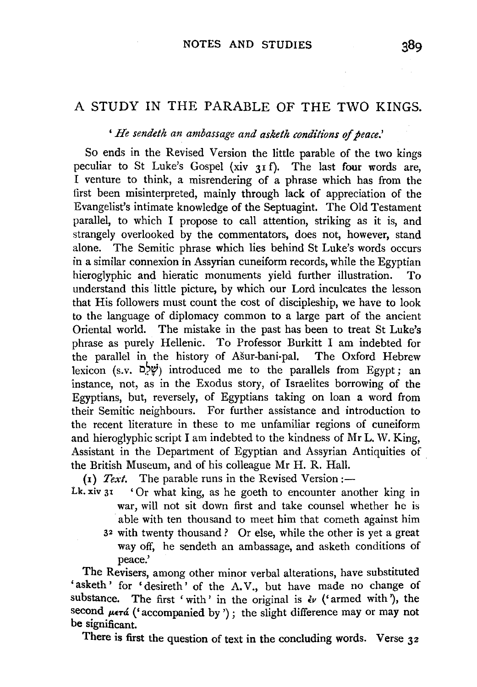## A STUDY IN THE PARABLE OF THE TWO KINGS.

## ' *He sendeth an ambassage and asketh conditi'ons* of *peace.'*

So ends in the Revised Version the little parable of the two kings peculiar to St Luke's Gospel (xiv 31 f). The last four words are, I venture to think, a misrendering of a phrase which has from the first been misinterpreted, mainly through lack of appreciation of the Evangelist's intimate knowledge of the Septuagint. The Old Testament parallel, to which I propose to call attention, striking as it is, and strangely overlooked by the commentators, does not, however, stand alone. The Semitic phrase which lies behind St Luke's words occurs in a similar connexion in Assyrian cuneiform records, while the Egyptian hieroglyphic and hieratic monuments yield further illustration. To understand this little picture, by which our Lord inculcates the lesson that His followers must count the cost of discipleship, we have to look to the language of diplomacy common to a large part of the ancient Oriental world. The mistake in the past has been to treat St Luke's phrase as purely Hellenic. To Professor Burkitt I am indebted for the parallel in the history of Asur-bani-pal. The Oxford Hebrew lexicon (s.v.  $\psi$ ) introduced me to the parallels from Egypt; an instance, not, as in the Exodus story, of Israelites borrowing of the Egyptians, but, reversely, of Egyptians taking on loan a word from their Semitic neighbours. For further assistance and introduction to the recent literature in these to me unfamiliar regions of cuneiform and hieroglyphic script I am indebted to the kindness of Mr L. W. King, Assistant in the Department of Egyptian and Assyrian Antiquities of the British Museum, and of his colleague Mr H. R. Hall.

(1) *Text.* The parable runs in the Revised Version:—

- Lk. xiv 31 'Or what king, as he goeth to encounter another king in war, will not sit down first and take counsel whether he is able with ten thousand to meet him that cometh against him
	- $3<sup>2</sup>$  with twenty thousand ? Or else, while the other is yet a great way off, he sendeth an ambassage, and asketh conditions of peace.'

The Revisers, among other minor verbal alterations, have substituted 'asketh' for 'desireth' of the A.V., but have made no change of substance. The first 'with' in the original is  $\epsilon v$  ('armed with'), the second  $\mu$ erá ('accompanied by'); the slight difference may or may not be significant.

There is first the question of text in the concluding words. Verse 32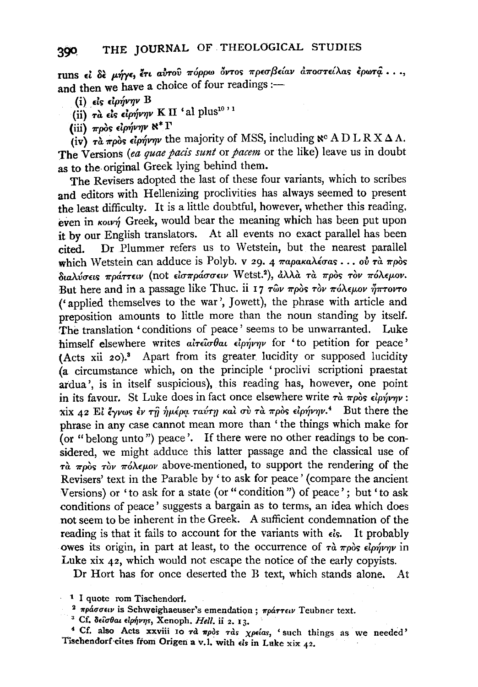runs εί δε μήγε, έτι αύτου πόρρω όντος πρεσβείαν αποστείλας ερωτά..., and then we have a choice of four readings :-

- (i) *£ls £lfl"ivrJv* B
- (ii)  $\tau \dot{a}$   $\epsilon$ *is*  $\epsilon$ *ipήvny* **K** II 'al plus<sup>10</sup><sup>'</sup>
- (iii) πρòs είρήνην Ν<sup>\*</sup> Γ

(iv)  $\tau \dot{a} \pi \rho \dot{\delta} s$  *elonvnv* the majority of MSS, including  $\aleph^c A D L R X \Delta \Lambda$ . The Versions *(ea quae pacis sunt* or *pacem* or the like) leave us in doubt as to the original Greek lying behind them.

The Revisers adopted the last of these four variants, which to scribes and editors with Hellenizing proclivities has always seemed to present the least difficulty. It is a little doubtful, however, whether this reading. even in  $kow\acute{\eta}$  Greek, would bear the meaning which has been put upon it by our English translators. At all events no exact parallel has been cited. Dr Plummer refers us to Wetstein, but the nearest parallel which Wetstein can adduce is Polyb. v 29. 4 παρακαλέσας ... ού τὰ πρὸς *B,aA.vuns 1rpa:rrnv* (not *£iu1rpauunv* Wetst.2 ), *dA.A.a Ta rrp6s TCJV rr6A£p.ov.*  But here and in a passage like Thuc. ii 17 *τ*ων προς τον πόλεμον ήπτοντο ('applied themselves to the war', Jowett), the phrase with article and preposition amounts to little more than the noun standing by itself. The translation 'conditions of peace' seems to be unwarranted. Luke himself elsewhere writes  $a\tilde{i}\tau\tilde{\epsilon}\tilde{i}\sigma\theta a\tilde{\epsilon}$   $\epsilon\tilde{i}\rho\tilde{\eta}\nu\eta\nu$  for 'to petition for peace'  $(Acts xii zo)<sup>3</sup>$  Apart from its greater lucidity or supposed lucidity (a circumstance which, on the principle 'proclivi scriptioni praestat ardua', is in itself suspicious), this reading has, however, one point in its favour. St Luke does in fact once elsewhere write  $\tau$ à  $\pi \rho \delta s$   $\epsilon \iota \rho \nvert \nu \nu$ : xix 42 *El έγνως έν τη ημέρα ταύτη και σ*υ τα προς ειρήνην.<sup>4</sup> But there the phrase in any case cannot mean more than ' the things which make for (or "belong unto") peace '. If there were no other readings to be considered, we might adduce this latter passage and the classical use of  $\tau \hat{a}$   $\pi \rho \hat{b} s$   $\tau \hat{b} \nu$   $\pi \hat{b} \lambda \epsilon \mu \omega \nu$  above-mentioned, to support the rendering of the Revisers' text in the Parable by 'to ask for peace' (compare the ancient Versions) or 'to ask for a state (or "condition") of peace'; but 'to ask conditions of peace' suggests a bargain as to terms, an idea which does not seem to be inherent in the Greek. A sufficient condemnation of the reading is that it fails to account for the variants with  $\epsilon \delta s$ . It probably owes its origin, in part at least, to the occurrence of  $\tau \hat{a} \tau \hat{a} \hat{\sigma} \hat{\sigma} \hat{\sigma} \hat{\gamma}$  in Luke xix 42, which would not escape the notice of the early copyists.

Dr Hort has for once deserted the B text, which stands alone. At

<sup>4</sup> Cf. also Acts xxviii 10 rd *npos* rds *Xpeias*, 'such things as we needed' Tischendorf cites from Origen a v.l. with  $\epsilon$  is in Luke xix 42.

<sup>&</sup>lt;sup>1</sup> I quote rom Tischendorf.<br><sup>2</sup> πράσσειν is Schweighaeuser's emendation ; πράττειν Teubner text.<br><sup>3</sup> Cf. δείσθαι εlρήνης, Xenoph. *Hell*. ii 2. 13.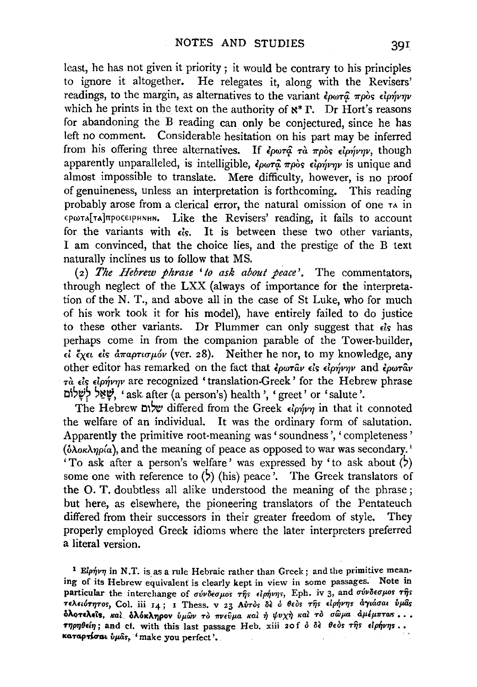least, he has not given it priority ; it would be contrary to his principles to ignore it altogether. He relegates it, along with the Revisers' readings, to the margin, as alternatives to the variant  $\epsilon_{\rho\omega\tau\hat{\alpha}}$   $\pi_{\rho\alpha\varsigma}$   $\epsilon_{\rho\gamma\gamma\gamma\gamma}$ which he prints in the text on the authority of  $x^*$   $\Gamma$ . Dr Hort's reasons for abandoning the B reading can. only be conjectured, since he has left no comment. Considerable hesitation on his part may be inferred from his offering three alternatives. If  $\epsilon_{\rho\omega\tau\hat{\alpha}}$   $\tau\hat{\alpha}$   $\pi_{\rho\hat{\sigma}s}$   $\epsilon_{\rho\gamma\gamma\gamma}$ , though apparently unparalleled, is intelligible,  $\epsilon_{\rho\omega\tau\hat{\alpha}}\pi_{\rho\hat{\{o}}\hat{\beta}}\epsilon_{\rho\hat{\psi}\gamma\hat{\gamma}}$  is unique and almost impossible to translate. Mere difficulty, however, is no proof of genuineness, unless an interpretation is forthcoming. This reading probably arose from a clerical error, the natural omission of one  $\tau_A$  in  $ερωτα[τα]προςειρΗΝΗΝ. Like the Revisers' reading, it fails to account$ for the variants with  $\epsilon \&$ . It is between these two other variants, I am convinced, that the choice lies, and the prestige of the B text naturally inclines us to follow that MS.

( 2) *The Hebrew phrase 'to ask about peace'.* The commentators, through neglect of the LXX (always of importance for the interpretation of the N. T., and above all in the case of St Luke, who for much of his work took it for his model), have entirely failed to do justice to these other variants. Dr Plummer can only suggest that  $\epsilon \delta s$  has perhaps come in from the companion parable of the Tower-builder,  $\epsilon_1$   $\epsilon_2$   $\epsilon_3$   $\epsilon_4$   $\epsilon_5$   $\epsilon_6$   $\epsilon_7$   $\epsilon_8$  (ver. 28). Neither he nor, to my knowledge, any other editor has remarked on the fact that  $\epsilon_{\rho\omega\tau\hat{a}\nu}$   $\epsilon$ *is*  $\epsilon_{\rho\gamma\gamma\gamma\gamma}$  and  $\epsilon_{\rho\omega\tau\hat{a}\nu}$ *Ta*  $\epsilon$ is  $\epsilon$ *ionvnv* are recognized 'translation-Greek' for the Hebrew phrase Ci'~~ '~~. 'ask. after (a person's) health ', 'greet' or 'salute'.

The Hebrew שלום differed from the Greek  $\epsilon l$ ומית in that it connoted the welfare of an individual. It was the ordinary form of salutation. Apparently the primitive root-meaning was 'soundness', 'completeness'  $(\delta \lambda_0 \kappa \lambda_0)$  and the meaning of peace as opposed to war was secondary.<sup>1</sup> 'To ask after a person's welfare' was expressed by 'to ask about (?) some one with reference to  $\langle \cdot \rangle$  (his) peace'. The Greek translators of the 0. T. doubtless all alike understood the meaning of the phrase; but here, as elsewhere, the pioneering translators of the Pentateuch differed from their successors in their greater freedom of style. They properly employed Greek idioms where the later interpreters preferred a literal version.

<sup>1</sup> Elphyn in N.T. is as a rule Hebraic rather than Greek; and the primitive meaning of its Hebrew equivalent is clearly kept in view in some passages. Note in particular the interchange of σύνδεσμος της είρήνης, Eph. iv 3, and σύνδεσμος της Tελειότητος, Col. iii 14; I Thess. v 23 Αυτός δε ο θεός της είρήνης αγιάσαι ύμας  $\delta$ λοτελεΐς, και δλόκληρον *υμών το πνεΰμα και ή ψυχή και το σώμ*α αμέμπτως...  $\tau\eta\rho\eta\theta\epsilon\acute{u}\eta$ ; and cf. with this last passage Heb. xiii 20 f  $\delta\delta\epsilon$   $\theta\epsilon\delta s$   $\tau\hat{\eta}s$   $\epsilon\acute{i}\rho\acute{\eta}\nu\eta s$ .. **EXAMPLE OF A REAL PROPERTY.**<br>
1 make you perfect'.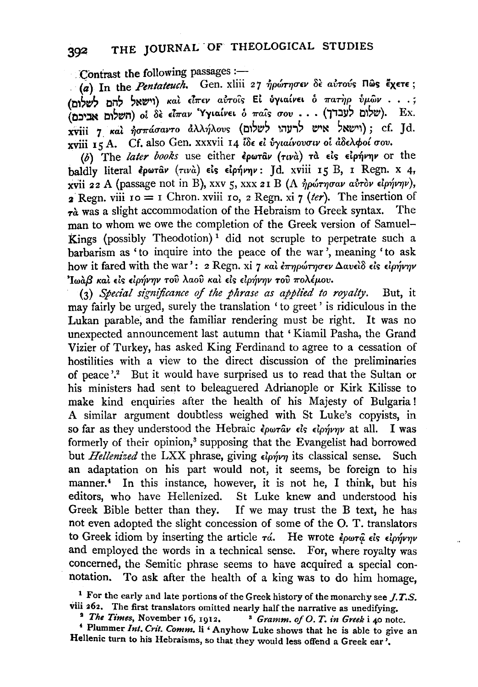Contrast the following passages :-

(a) In the Pentateuch. Gen. xliii 27  $\eta \rho \omega \tau \eta \sigma \epsilon \nu$  δε αύτους Πώς έχετε: (שׁלֵת להם לשלות) και είπεν αύτοις Εί ύγιαίνει δ πατήρ ύμων... (שלום אביבם) oi δε είπαν 'Υγιαίνει δ παΐς σου ... (שלום אביבם). Ex. (וישאל איש לרעהו לשלום) και ήσπάσαντο άλλήλους (שלום); cf. Jd. xviii 15 A. Cf. also Gen. xxxvii 14 ίδε εί ύγιαίνουσιν οι άδελφοί σου.

(b) The later books use either ερωτών (τινά) τα είς ειρήνην or the haldly literal έρωταν (τινά) είς είρήνην: Jd. xviii 15 B, 1 Regn. x 4, xvii 22 A (passage not in B), xxv 5, xxx 21 B (Α ήρώτησαν αυτόν είρήνην), **2** Regn. viii 10 = 1 Chron. xviii 10, 2 Regn. xi 7 (ter). The insertion of  $\tau$ à was a slight accommodation of the Hebraism to Greek syntax. The man to whom we owe the completion of the Greek version of Samuel-Kings (possibly Theodotion)<sup>1</sup> did not scruple to perpetrate such a barbarism as 'to inquire into the peace of the war', meaning 'to ask how it fared with the war': 2 Regn. xi 7 και επηρώτησεν Δαυείδ είς ειρήνην Ιωάβ και είς ειρήνην του λαού και είς ειρήνην του πολέμου.

 $(3)$  Special significance of the phrase as applied to royalty. But, it may fairly be urged, surely the translation ' to greet' is ridiculous in the Lukan parable, and the familiar rendering must be right. It was no unexpected announcement last autumn that 'Kiamil Pasha, the Grand Vizier of Turkey, has asked King Ferdinand to agree to a cessation of hostilities with a view to the direct discussion of the preliminaries of peace'.<sup>2</sup> But it would have surprised us to read that the Sultan or his ministers had sent to beleaguered Adrianople or Kirk Kilisse to make kind enquiries after the health of his Majesty of Bulgaria! A similar argument doubtless weighed with St Luke's copyists, in so far as they understood the Hebraic  $\epsilon \rho \omega \tau \hat{a} \nu$   $\epsilon \hat{i} s$   $\epsilon \rho \gamma \gamma \nu$  at all. I was formerly of their opinion,<sup>3</sup> supposing that the Evangelist had borrowed but *Hellenized* the LXX phrase, giving  $\epsilon$ *iphyn* its classical sense. Such an adaptation on his part would not, it seems, be foreign to his manner.<sup>4</sup> In this instance, however, it is not he, I think, but his editors, who have Hellenized. St Luke knew and understood his Greek Bible better than they. If we may trust the B text, he has not even adopted the slight concession of some of the O. T. translators to Greek idiom by inserting the article  $\tau d$ . He wrote  $\epsilon \rho \omega \tau \hat{a} \epsilon \hat{i} s \epsilon \hat{i} \rho \hat{\eta} \nu \eta \nu$ and employed the words in a technical sense. For, where royalty was concerned, the Semitic phrase seems to have acquired a special connotation. To ask after the health of a king was to do him homage.

<sup>1</sup> For the early and late portions of the Greek history of the monarchy see  $J.T.S.$ viii 262. The first translators omitted nearly half the narrative as unedifying.

<sup>2</sup> The Times, November 16, 1912. <sup>3</sup> Gramm. of O. T. in Greek i 40 note.

<sup>4</sup> Plummer Int. Crit. Comm. li 'Anyhow Luke shows that he is able to give an Hellenic turn to his Hebraisms, so that they would less offend a Greek ear'.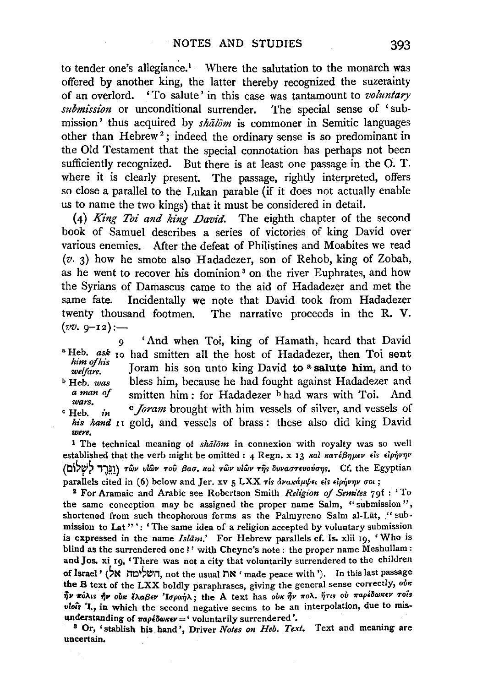to tender one's allegiance.<sup>1</sup> Where the salutation to the monarch was offered by another king, the latter thereby recognized the suzerainty of an overlord. 'To salute' in this case was tantamount to *voluntary submission* or unconditional surrender. The special sense of 'submission' thus acquired by *shalom* is commoner in Semitic languages other than Hebrew<sup>2</sup>; indeed the ordinary sense is so predominant in the Old Testament that the special connotation has perhaps not been sufficiently recognized. But there is at least one passage in the 0. T. where it is clearly present. The passage, rightly interpreted, offers so close a parallel to the Lukan parable (if it does not actually enable us to name the two kings) that it must be considered in detail.

(4) *King Toi and hing David.* The eighth chapter of the second book of Samuel describes a series of victories of king David over various enemies. After the defeat of Philistines and Moabites we read  $(v, 3)$  how he smote also Hadadezer, son of Rehob, king of Zobah, as he went to recover his dominion<sup>3</sup> on the river Euphrates, and how the Syrians of Damascus came to the aid of Hadadezer and met the same fate. Incidentally we note that David took from Hadadezer twenty thousand footmen. The narrative proceeds in the R. V.  $(vv. 9-12):$ 

'And when Toi, king of Hamath, heard that David <sup>a</sup> Heb. *ask* to had smitten all the host of Hadadezer, then Toi sent *him of his* Joram his son unto king David to a salute him, and to <sup>b</sup> Heb. *was* bless him, because he had fought against Hadadezer and *a man of* smitten him : for Hadadezer **b** had wars with Toi. And *wars. in c Joram* brought with him vessels of silver, and vessels of *his hand* **H** gold, and vessels of brass: these also did king David

1 The technical meaning of *shalom* in connexion with royalty was so well established that the verb might be omitted :  $4$  Regn. x 13  $\kappa$ al  $\kappa$ aré $\beta$ ημεν είs είρήνην (בַּרְדְ לְשֵׁלוֹם) *Tων vlωv του βασ. και των vlωv της δυναστευούσης.* Cf. the Egyptian parallels cited in (6) below and Jer. xv 5 LXX ris dvarápyei els elphyny ou;

9 For Aramaic and Arabic see Robertson Smith *Religion of Semites* 791 : 'To the same conception may be assigned the proper name Salm, "submission", shortened from such theophorous forms as the Palmyrene Salm al-Lat, "submission to Lat"': 'The same idea of a religion accepted by voluntary submission is expressed in the name *Islam*.' For Hebrew parallels cf. Is. xlii 19, 'Who is blind as the surrendered one?' with Cheyne's note: the proper name Meshullam: and Jos. xi 19, 'There was not a city that voluntarily surrendered to the children of Israel' (השלימה אל). In this last passage . והשלימה the B text of the LXX boldly paraphrases, giving the general sense correctly, our  $\hat{\eta}$ ν πόλιs *ην ούκ έλαβεν 'Ισραήλ*: the A text has *ούκ ην* πολ. ήτιs ού παρέδωκεν τοίs vlous 'I., in which the second negative seems to be an interpolation, due to mis-

understanding of  $\pi a \rho \epsilon \delta \omega \kappa \epsilon \nu = '$  voluntarily surrendered'.<br><sup>8</sup> Or, 'stablish his hand', Driver *Notes on Heb. Text*. Text and meaning are uncertain.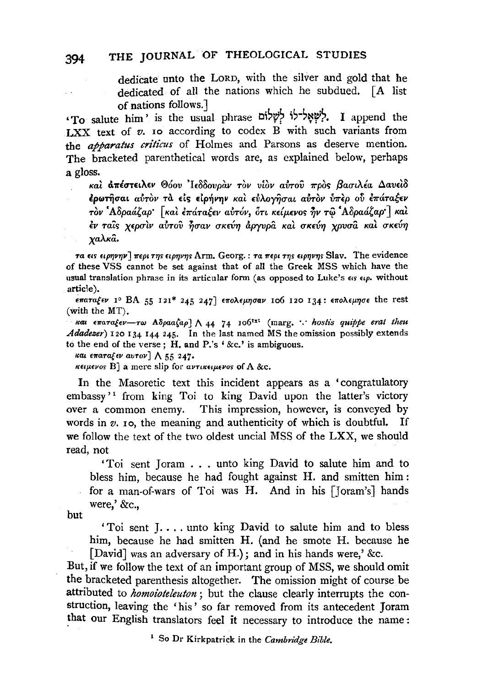## THE JOURNAL OF THEOLOGICAL STUDIES 394

dedicate unto the LORD, with the silver and gold that he dedicated of all the nations which he subdued. [A list of nations follows.]

. לְשָׁאָל-לוֹ לְשָׁלוֹם . (לְשָׁלוֹם . I append the LXX text of v. 10 according to codex B with such variants from the apparatus criticus of Holmes and Parsons as deserve mention. The bracketed parenthetical words are, as explained below, perhaps a gloss.

και απέστειλεν Θόου Ιεδδουράν τον νίον αύτου πρός βασιλέα Δανειδ έρωτήσαι αύτον τα είς είρήνην και εύλογησαι αύτον ύπερ ού επάταξεν τον Αδραάζαρ Γκαι επάταξεν αυτόν, ότι κείμενος ην τω Αδραάζαρ Γκαι έν ταΐς χερσὶν αύτοῦ ἦσαν σκεύη ἀργυρᾶ καὶ σκεύη γρυσᾶ καὶ σκεύη χαλκα.

**τα εις ειρηνην** περιτης ειρηνης Arm. Georg.: τα περιτης ειρηνης Slav. The evidence of these VSS cannot be set against that of all the Greek MSS which have the usual translation phrase in its articular form (as opposed to Luke's  $\epsilon_{i}$ , without article).

επαταξεν 1° ΒΑ 55 121\* 245 247] επολεμησαν 106 120 134: επολεμησε the rest (with the  $MT$ ).

και επαταξεν—τω Αδρααζαρ] Λ 44 74 106<sup>txt</sup> (marg. : hostis quippe eral theu Adadeser) 120 134 144 245. In the last named MS the omission possibly extends to the end of the verse : H, and P,'s  $kc$ ,' is ambiguous.

και επαταξεν αυτον]  $\wedge$  55 247.

κειμενος Β] a mere slip for αντικειμενος of A &c.

In the Masoretic text this incident appears as a 'congratulatory embassy'<sup>1</sup> from king Toi to king David upon the latter's victory over a common enemy. This impression, however, is conveyed by words in  $v$ . 10, the meaning and authenticity of which is doubtful.  $\mathbf{H}$ we follow the text of the two oldest uncial MSS of the LXX, we should read, not

'Toi sent Joram . . . unto king David to salute him and to bless him, because he had fought against H. and smitten him: for a man-of-wars of Toi was H. And in his [Joram's] hands were,  $\&c$ .

but

'Toi sent I... unto king David to salute him and to bless him, because he had smitten H. (and he smote H. because he [David] was an adversary of H.); and in his hands were,' &c.

But, if we follow the text of an important group of MSS, we should omit the bracketed parenthesis altogether. The omission might of course be attributed to *homoioteleuton*; but the clause clearly interrupts the construction, leaving the 'his' so far removed from its antecedent Joram that our English translators feel it necessary to introduce the name:

<sup>1</sup> So Dr Kirkpatrick in the Cambridge Bible.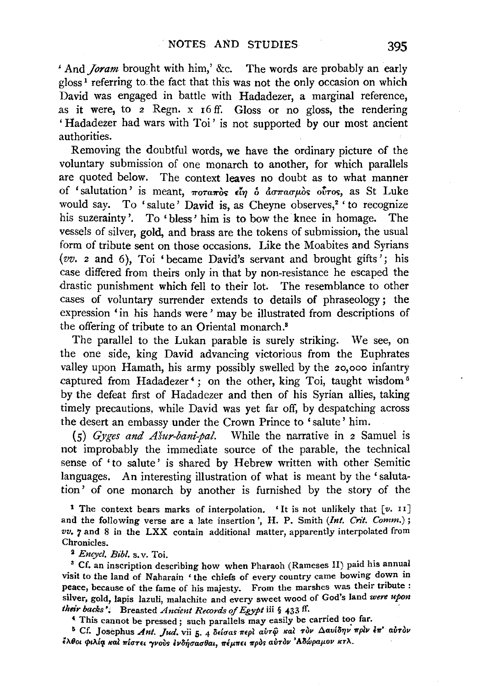*'And Joram* brought with him,' &c. The words are probably an early gloss 1 referring to the fact that this was not the only occasion on which David was engaged in battle with Hadadezer, a marginal reference, as it were, to 2 Regn. x 16 ff. Gloss or no gloss, the rendering ' Hadadezer had wars with Toi' is not supported by our most ancient authorities.

Removing the doubtful words, we have the ordinary picture of the voluntary submission of one monarch to another, for which parallels are quoted below. The context leaves no doubt as to what manner of 'salutation' is meant,  $\pi$ ora $\pi$ òs  $\epsilon i\eta$  o do $\pi$ aopos otros, as St Luke would say. To 'salute' David is, as Cheyne observes,<sup>2</sup> ' to recognize his suzerainty'. To 'bless' him is to bow the knee in homage. The vessels of silver, gold, and brass are the tokens of submission, the usual form of tribute sent on those occasions. Like the Moabites and Syrians *(vv.* 2 and 6), Toi 'became David's servant and brought gifts'; his case differed from theirs only in that by non-resistance he escaped the drastic punishment which fell to their lot. The resemblance to other cases of voluntary surrender extends to details of phraseology; the expression 'in his hands were ' may be illustrated from descriptions of the offering of tribute to an Oriental monarch.8

The parallel to the Lukan parable is surely striking. We see, on the one side, king David advancing victorious from the Euphrates valley upon Hamath, his army possibly swelled by the 2o,ooo infantry captured from Hadadezer<sup>4</sup>; on the other, king Toi, taught wisdom<sup>5</sup> by the defeat first of Hadadezer and then of his Syrian allies, taking timely precautions, while David was yet far off, by despatching across the desert an embassy under the Crown Prince to 'salute ' him.

(5) *Gyges and Asur-bani-pal.* While the narrative in 2 Samuel is not improbably the immediate source of the parable, the technical sense of 'to salute' is shared by Hebrew written with other Semitic languages. An interesting illustration of what is meant by the 'salutation' of one monarch by another is furnished by the story of the

<sup>1</sup> The context bears marks of interpolation. 'It is not unlikely that  $[v, 11]$ and the following verse are a late insertion', H. P. Smith *(lnt. Crit. Comm.); vv,* 7 and 8 in the LXX contain additional matter, apparently interpolated from Chronicles. 2 *Encycl. Bib!.* s. v. Toi.

• Cf. an inscription describing how when Pharaoh (Rameses II) paid his annual visit to the land of Naharain 'the chiefs of every country came bowing down in peace, because of the fame of his majesty. From the marshes was their tribute : silver, gold, lapis lazuli, malachite and every sweet wood of God's land *were upon their backs'.* Breasted *Ancient Records of Egypt* iii § 433 If.

<sup>4</sup> This cannot be pressed; such parallels may easily be carried too far.<br><sup>5</sup> Cf. Josephus *Ant. Jud.* vii 5: 4 δείσαs περι αυτώ *τον Δαυίδην πριν επ' αυτον* tli.Bo. *'i'•ll.l'l t<cU wlur•• 'YVOVS* ~v1JfjO'a0'8a•, *wlpw••* wp3s *avr3v* , *Al!wpapov t<Tll..*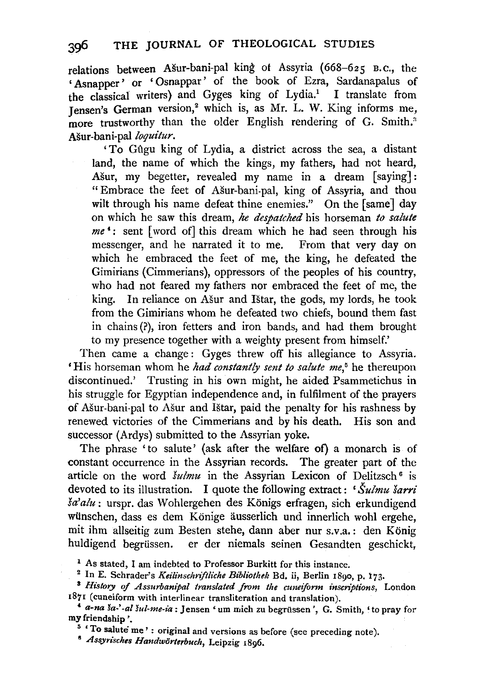relations between Ašur-bani-pal king of Assyria (668-625 B.C., the • Asnapper' or 'Osnappar' of the book of Ezra, Sardanapalus of the classical writers) and Gyges king of Lydia.<sup>1</sup> I translate from Jensen's German version/ which is, as Mr. L. W. King informs me, more trustworthy than the older English rendering of G. Smith.<sup>8</sup> Ašur-bani-pal loquitur.

'To Gugu king of Lydia, a district across the sea, a distant land, the name of which the kings, my fathers, had not heard, Asur, my begetter, revealed my name in a dream [saying]: "Embrace the feet of Asur-bani-pal, king of Assyria, and thou wilt through his name defeat thine enemies." On the [same] day on which he saw this dream, *he despatched* his horseman *to salute me 4* : sent [word of) this dream which he had seen through his messenger, and he narrated it to me. From that very day on which he embraced the feet of me, the king, he defeated the Gimirians (Cimmerians), oppressors of the peoples of his country, who had not feared my fathers nor embraced the feet of me, the king. In reliance on Asur and IStar, the gods, my lords, he took from the Gimirians whom he defeated two chiefs, bound them fast in chains (?), iron fetters and iron bands, and had them brought to my presence together with a weighty present from himself.'

Then came a change: Gyges threw off his allegiance to Assyria. 'His horseman whom he *had constantly sent to salute me,* 5 he thereupon discontinued.' Trusting in his own might, he aided Psammetichus in his struggle for Egyptian independence and, in fulfilment of the prayers of Ašur-bani-pal to Ašur and Ištar, paid the penalty for his rashness by renewed victories of the Cimmerians and by his death. His son and successor (Ardys) submitted to the Assyrian yoke.

The phrase 'to salute' (ask after the welfare of) a monarch is of constant occurrence in the Assyrian records. The greater part of the article on the word  $\frac{\delta u}{m}$  in the Assyrian Lexicon of Delitzsch<sup>6</sup> is devoted to its illustration. I quote the following extract: *'Sulmu sarri sa'alu:* urspr. das Wohlergehen des Konigs erfragen, sich erkundigend wünschen, dass es dem Könige äusserlich und innerlich wohl ergehe, mit ihm allseitig zum Besten stehe, dann aber nur s.v.a.: den König huldigend begriissen. er der niemals seinen Gesandten geschickt,

<sup>1</sup> As stated, I am indebted to Professor Burkitt for this instance.<br><sup>2</sup> In E. Schrader's *Keilinschriftliche Bibliothek* Bd. ii, Berlin 1890, p. 173.<br><sup>3</sup> History of Assurbanipal translated from the cuneiform inscriptions, r87r (cuneiform with interlinear transliteration and translation).

<sup>4</sup>  $a-na$   $\bar{a}a$ -'  $al$   $\bar{b}ul$ -me-ia : Jensen ' um mich zu begrüssen ', G. Smith, ' to pray for my friendship'.

<sup>5</sup> 'To salute me' : original and versions as before (see preceding note).

• *Assyrisches Handworterbuch,* Leipzig 1896.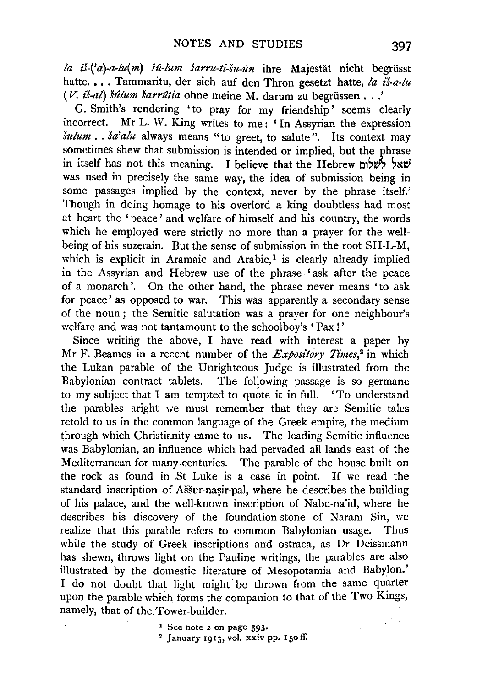la iš-('a)-a-lu(m) šú-lum šarru-ti-šu-un ihre Majestät nicht begrüsst hatte. . . Tammaritu, der sich auf den Thron gesetzt hatte, *la iš-a-lu* (V. *i1-al) Mlum sarrt2tia* oh ne meine M. darum zu begriissen •. .'

G. Smith's rendering 'to pray for my friendship' seems clearly incorrect. Mr L. W. King writes to me: 'In Assyrian the expression *sulum .. sa'alu* always means "to greet, to salute". Its context may sometimes shew that submission is intended or implied, but the phrase in itself has not this meaning. I believe that the Hebrew שֹׁאל לֹשֵׁלוּם was used in precisely the same way, the idea of submission being in some passages implied by the context, never by the phrase itself.' Though in doing homage to his overlord a king doubtless had most at heart the ' peace ' and welfare of himself and his country, the words which he employed were strictly no more than a prayer for the wellbeing of his suzerain. But the sense of submission in the root SH-L-M, which is explicit in Aramaic and Arabic,<sup>1</sup> is clearly already implied in the Assyrian and Hebrew use of the phrase 'ask after the peace of a monarch'. On the other hand, the phrase never means 'to ask for peace' as opposed to war. This was apparently a secondary sense of the noun; the Semitic salutation was a prayer for one neighbour's welfare and was not tantamount to the schoolboy's 'Pax!'

Since writing the above, I have read with interest a paper by Mr F. Beames in a recent number of the *Expository Times*,<sup>2</sup> in which the Lukan parable of the Unrighteous Judge is illustrated from the Babylonian contract tablets. The following passage is so germane to my subject that I am tempted to quote it in full. 'To understand the parables aright we must remember that they are Semitic tales retold to us in the common language of the Greek empire, the medium through which Christianity came to us. The leading Semitic influence was Babylonian, an influence which had pervaded all lands east of the Mediterranean for many centuries. The parable of the house built on the rock as found in .St Luke is a case in point. If we read the standard inscription of Assur-nasir-pal, where he describes the building of his palace, and the well-known inscription of Nabu-na'id, where he describes his discovery of the foundation-stone of Naram Sin, we realize that this parable refers to common Babylonian usage. Thus while the study of Greek inscriptions and ostraca, as Dr Deissmann has shewn, throws light on the Pauline writings, the parables are also illustrated by the domestic literature of Mesopotamia and Babylon.' I do not doubt that light might be thrown from the same quarter upon the parable which forms the companion to that of the Two Kings, namely, that of.the Tower-builder.

<sup>1</sup> See note 2 on page 393.<br><sup>2</sup> January 1913, vol. xxiv pp. 150 ff.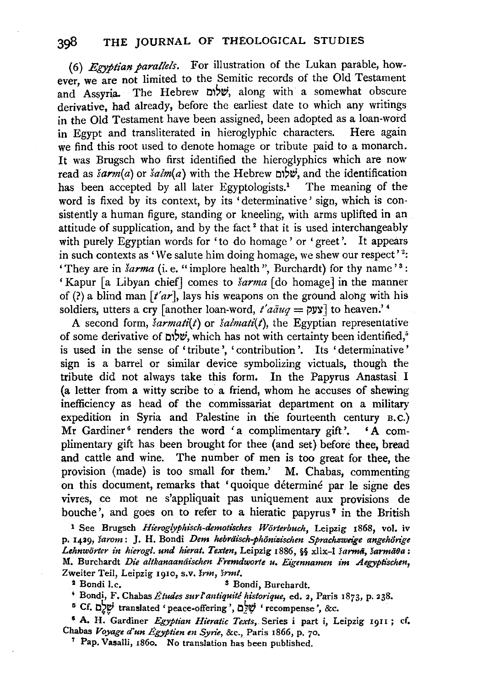(6) *Egyptian parallels.* For illustration of the Lukan parable, however we are not limited to the Semitic records of the Old Testament and Assyria. The Hebrew שלום, along with a somewhat obscure derivative, had already, before the earliest date to which any writings in the Old Testament have been assigned, been adopted as a loan-word in Egypt and transliterated in hieroglyphic characters. Here again we find this root used to denote homage or tribute paid to a monarch. It was Brugsch who first identified the hieroglyphics which are now read as  $\delta \text{arm}(a)$  or  $\delta \text{alm}(a)$  with the Hebrew  $\mu \nu$ , and the identification has been accepted by all later Egyptologists.<sup>1</sup> The meaning of the word is fixed by its context, by its 'determinative' sign, which is consistently a human figure, standing or kneeling, with arms uplifted in an attitude of supplication, and by the fact<sup>2</sup> that it is used interchangeably with purely Egyptian words for 'to do homage' or 'greet'. It appears in such contexts as 'We salute him doing homage, we shew our respect'<sup>2</sup>: 'They are in *šarma* (i.e. "implore health", Burchardt) for thy name'<sup>3</sup>: ' Kapur [a Libyan chief] comes to *sarma* [do homage] in the manner of(?) a blind man *[t'ar],* lays his weapons on the ground along with his soldiers, utters a cry [another loan-word,  $t' a \bar{a} uq = \bar{v} y$ ] to heaven.'<sup>4</sup>

A second form,  $\delta$ *armati*(*t*) or  $\delta$ *almati*(*t*), the Egyptian representative of some derivative of שלום which has not with certainty been identified," is used in the sense of 'tribute', 'contribution'. Its 'determinative' sign is a barrel or similar device symbolizing victuals, though the tribute did not always take this form. In the Papyrus Anastasi I (a letter from a witty scribe to a friend, whom he accuses of shewing inefficiency as head of the commissariat department on a military expedition in Syria and Palestine in the fourteenth century B.C.) Mr Gardiner<sup>6</sup> renders the word 'a complimentary gift'. 'A complimentary gift has been brought for thee (and set) before thee, bread and cattle and wine. The number of men is too great for thee, the provision (made) is too small for them.' M. Chabas, commenting on this document, remarks that 'quoique determine par le signe des vivres, ce mot ne s'appliquait pas uniquement aux provisions de bouche', and goes on to refer to a hieratic papyrus<sup>7</sup> in the British

<sup>1</sup>See Brugsch *Hieroglyphisch-demotisches Worterbuch,* Leipzig 1868, vol. iv p. 1429, *Jarom: J. H. Bondi Dem hebräisch-phönizischen Sprachzweige angehörige Lehnworter in hierogl. und hierat. Texten,* Leipzig 1886, §§ xlix-1 *Jarmii, Jarma8a:*  M. Burchardt *Die altkanaanäischen Fremdworte u. Eigennamen im Aegyptischen*, Zweiter Teil, Leipzig 1910, s.v. *Yrm, Yrmt*,

<sup>2</sup> Bondi I.c. <sup>3</sup> Bondi, Burchardt.

f Bondi, F. Chabas *Études sur l'antiquité historique*, ed. 2, Paris 1873, p. 238.<br><sup>5</sup> Cf. DCP: Cranslated 'peace-offering', DV: 'recompense', &c.<br><sup>6</sup> A. H. Gardiner *Egyptian Hieratic Texts*, Series i part i, Leipzig 1911 Chabas *Voyage ti'un Egyptien en Syn"e,* &c., Paris 1866, p. 70. 7 Pap. Vasalli, 186o. No translation has been published.